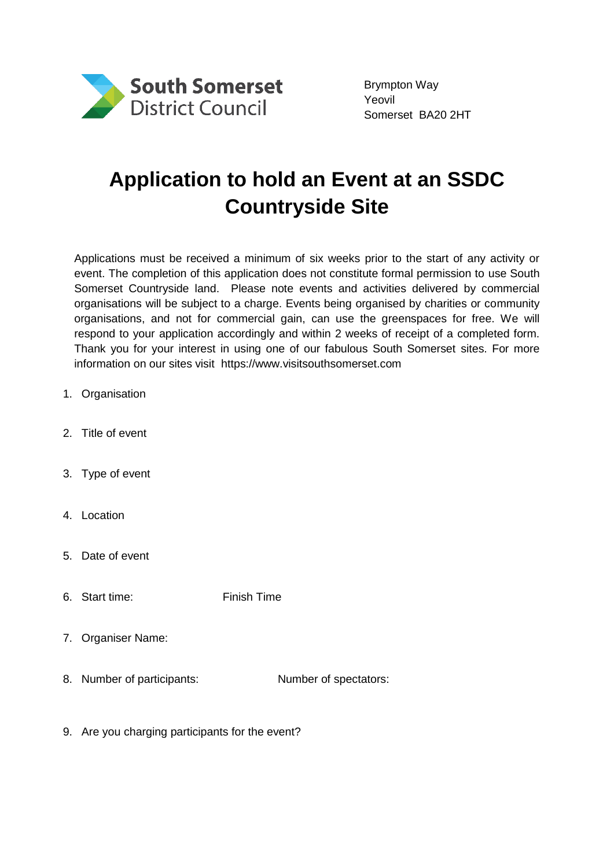

Brympton Way Yeovil Somerset BA20 2HT

## **Application to hold an Event at an SSDC Countryside Site**

Applications must be received a minimum of six weeks prior to the start of any activity or event. The completion of this application does not constitute formal permission to use South Somerset Countryside land. Please note events and activities delivered by commercial organisations will be subject to a charge. Events being organised by charities or community organisations, and not for commercial gain, can use the greenspaces for free. We will respond to your application accordingly and within 2 weeks of receipt of a completed form. Thank you for your interest in using one of our fabulous South Somerset sites. For more information on our sites visit https://www.visitsouthsomerset.com

- 1. Organisation
- 2. Title of event
- 3. Type of event
- 4. Location
- 5. Date of event
- 6. Start time: Finish Time
- 7. Organiser Name:
- 8. Number of participants: Number of spectators:
- 9. Are you charging participants for the event?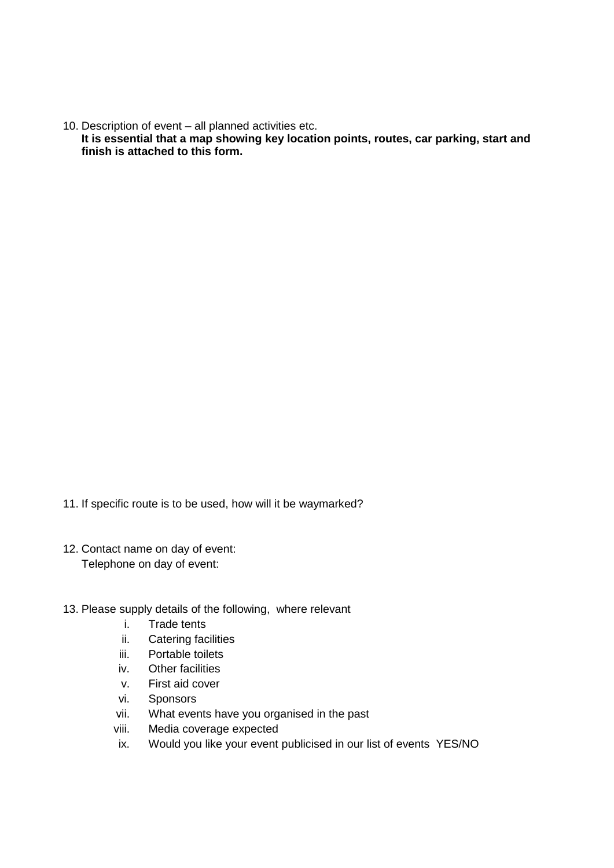10. Description of event – all planned activities etc.

**It is essential that a map showing key location points, routes, car parking, start and finish is attached to this form.**

- 11. If specific route is to be used, how will it be waymarked?
- 12. Contact name on day of event: Telephone on day of event:
- 13. Please supply details of the following, where relevant
	- i. Trade tents
	- ii. Catering facilities
	- iii. Portable toilets
	- iv. Other facilities
	- v. First aid cover
	- vi. Sponsors
	- vii. What events have you organised in the past
	- viii. Media coverage expected
	- ix. Would you like your event publicised in our list of events YES/NO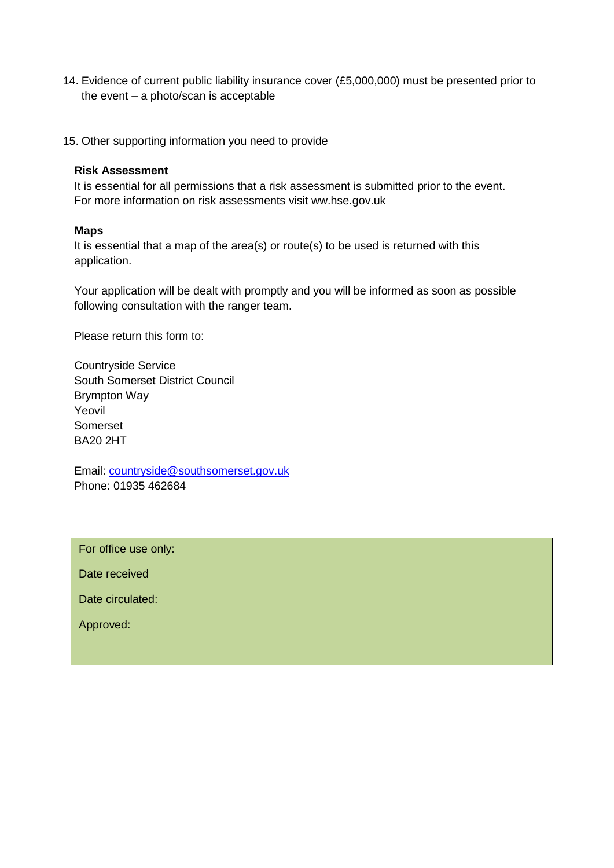- 14. Evidence of current public liability insurance cover (£5,000,000) must be presented prior to the event – a photo/scan is acceptable
- 15. Other supporting information you need to provide

## **Risk Assessment**

It is essential for all permissions that a risk assessment is submitted prior to the event. For more information on risk assessments visit ww.hse.gov.uk

## **Maps**

It is essential that a map of the area(s) or route(s) to be used is returned with this application.

Your application will be dealt with promptly and you will be informed as soon as possible following consultation with the ranger team.

Please return this form to:

Countryside Service South Somerset District Council Brympton Way Yeovil Somerset BA20 2HT

Email: [countryside@southsomerset.gov.uk](mailto:countryside@southsomerset.gov.uk) Phone: 01935 462684

For office use only:

Date received

Date circulated:

Approved: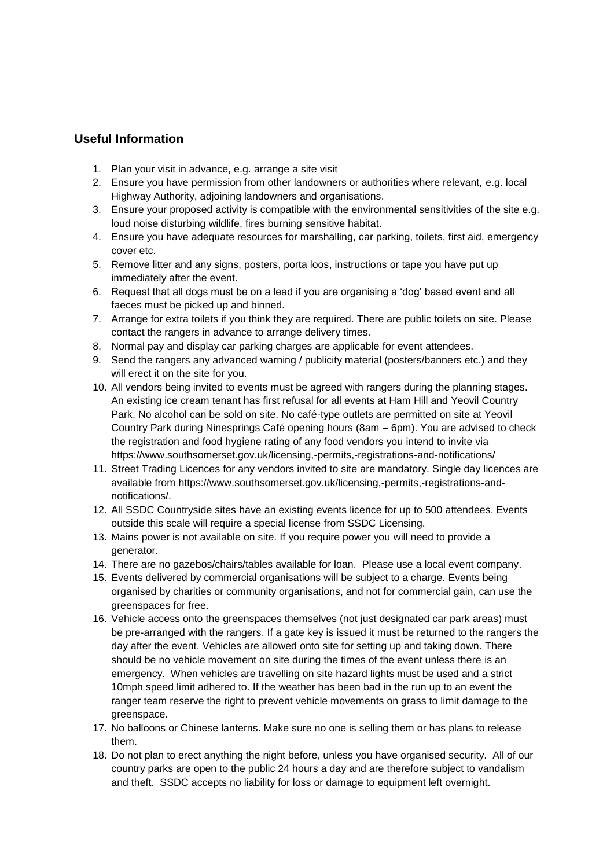## **Useful Information**

- 1. Plan your visit in advance, e.g. arrange a site visit
- 2. Ensure you have permission from other landowners or authorities where relevant, e.g. local Highway Authority, adjoining landowners and organisations.
- 3. Ensure your proposed activity is compatible with the environmental sensitivities of the site e.g. loud noise disturbing wildlife, fires burning sensitive habitat.
- 4. Ensure you have adequate resources for marshalling, car parking, toilets, first aid, emergency cover etc.
- 5. Remove litter and any signs, posters, porta loos, instructions or tape you have put up immediately after the event.
- 6. Request that all dogs must be on a lead if you are organising a 'dog' based event and all faeces must be picked up and binned.
- 7. Arrange for extra toilets if you think they are required. There are public toilets on site. Please contact the rangers in advance to arrange delivery times.
- 8. Normal pay and display car parking charges are applicable for event attendees.
- 9. Send the rangers any advanced warning / publicity material (posters/banners etc.) and they will erect it on the site for you.
- 10. All vendors being invited to events must be agreed with rangers during the planning stages. An existing ice cream tenant has first refusal for all events at Ham Hill and Yeovil Country Park. No alcohol can be sold on site. No café-type outlets are permitted on site at Yeovil Country Park during Ninesprings Café opening hours (8am – 6pm). You are advised to check the registration and food hygiene rating of any food vendors you intend to invite via https://www.southsomerset.gov.uk/licensing,-permits,-registrations-and-notifications/
- 11. Street Trading Licences for any vendors invited to site are mandatory. Single day licences are available from https://www.southsomerset.gov.uk/licensing,-permits,-registrations-andnotifications/.
- 12. All SSDC Countryside sites have an existing events licence for up to 500 attendees. Events outside this scale will require a special license from SSDC Licensing.
- 13. Mains power is not available on site. If you require power you will need to provide a generator.
- 14. There are no gazebos/chairs/tables available for loan. Please use a local event company.
- 15. Events delivered by commercial organisations will be subject to a charge. Events being organised by charities or community organisations, and not for commercial gain, can use the greenspaces for free.
- 16. Vehicle access onto the greenspaces themselves (not just designated car park areas) must be pre-arranged with the rangers. If a gate key is issued it must be returned to the rangers the day after the event. Vehicles are allowed onto site for setting up and taking down. There should be no vehicle movement on site during the times of the event unless there is an emergency. When vehicles are travelling on site hazard lights must be used and a strict 10mph speed limit adhered to. If the weather has been bad in the run up to an event the ranger team reserve the right to prevent vehicle movements on grass to limit damage to the greenspace.
- 17. No balloons or Chinese lanterns. Make sure no one is selling them or has plans to release them.
- 18. Do not plan to erect anything the night before, unless you have organised security. All of our country parks are open to the public 24 hours a day and are therefore subject to vandalism and theft. SSDC accepts no liability for loss or damage to equipment left overnight.